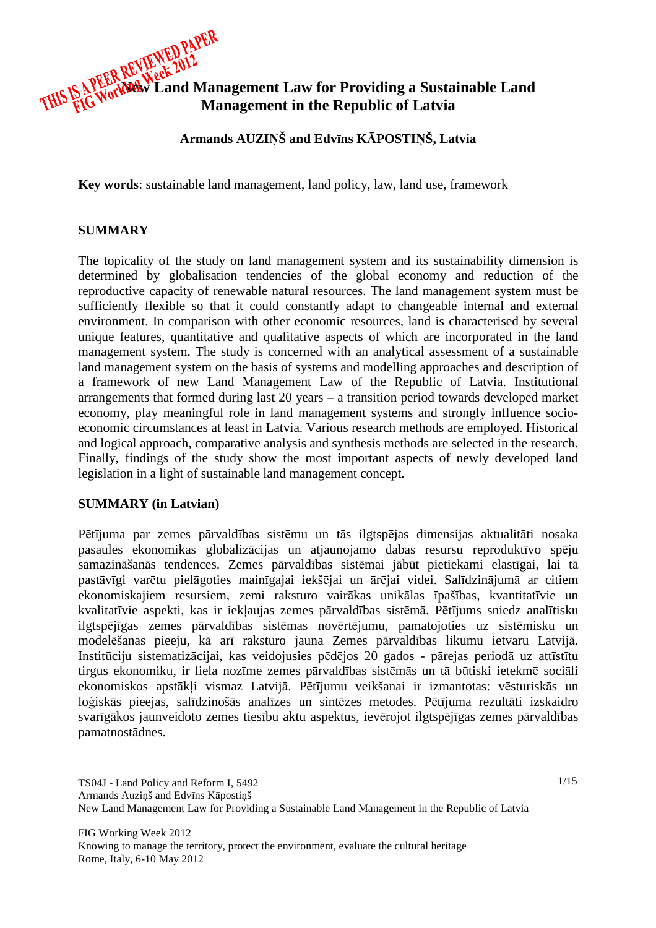

**Armands AUZI**Ņ**Š and Edv**ī**ns K**Ā**POSTI**Ņ**Š, Latvia** 

**Key words**: sustainable land management, land policy, law, land use, framework

### **SUMMARY**

The topicality of the study on land management system and its sustainability dimension is determined by globalisation tendencies of the global economy and reduction of the reproductive capacity of renewable natural resources. The land management system must be sufficiently flexible so that it could constantly adapt to changeable internal and external environment. In comparison with other economic resources, land is characterised by several unique features, quantitative and qualitative aspects of which are incorporated in the land management system. The study is concerned with an analytical assessment of a sustainable land management system on the basis of systems and modelling approaches and description of a framework of new Land Management Law of the Republic of Latvia. Institutional arrangements that formed during last 20 years – a transition period towards developed market economy, play meaningful role in land management systems and strongly influence socioeconomic circumstances at least in Latvia. Various research methods are employed. Historical and logical approach, comparative analysis and synthesis methods are selected in the research. Finally, findings of the study show the most important aspects of newly developed land legislation in a light of sustainable land management concept.

## **SUMMARY (in Latvian)**

Pētījuma par zemes pārvaldības sistēmu un tās ilgtspējas dimensijas aktualitāti nosaka pasaules ekonomikas globalizācijas un atjaunojamo dabas resursu reproduktīvo spēju samazināšanās tendences. Zemes pārvaldības sistēmai jābūt pietiekami elastīgai, lai tā pastāvīgi varētu pielāgoties mainīgajai iekšējai un ārējai videi. Salīdzinājumā ar citiem ekonomiskajiem resursiem, zemi raksturo vairākas unikālas īpašības, kvantitatīvie un kvalitatīvie aspekti, kas ir iekļaujas zemes pārvaldības sistēmā. Pētījums sniedz analītisku ilgtspējīgas zemes pārvaldības sistēmas novērtējumu, pamatojoties uz sistēmisku un modelēšanas pieeju, kā arī raksturo jauna Zemes pārvaldības likumu ietvaru Latvijā. Institūciju sistematizācijai, kas veidojusies pēdējos 20 gados - pārejas periodā uz attīstītu tirgus ekonomiku, ir liela nozīme zemes pārvaldības sistēmās un tā būtiski ietekmē sociāli ekonomiskos apstākļi vismaz Latvijā. Pētījumu veikšanai ir izmantotas: vēsturiskās un loģiskās pieejas, salīdzinošās analīzes un sintēzes metodes. Pētījuma rezultāti izskaidro svarīgākos jaunveidoto zemes tiesību aktu aspektus, ievērojot ilgtspējīgas zemes pārvaldības pamatnostādnes.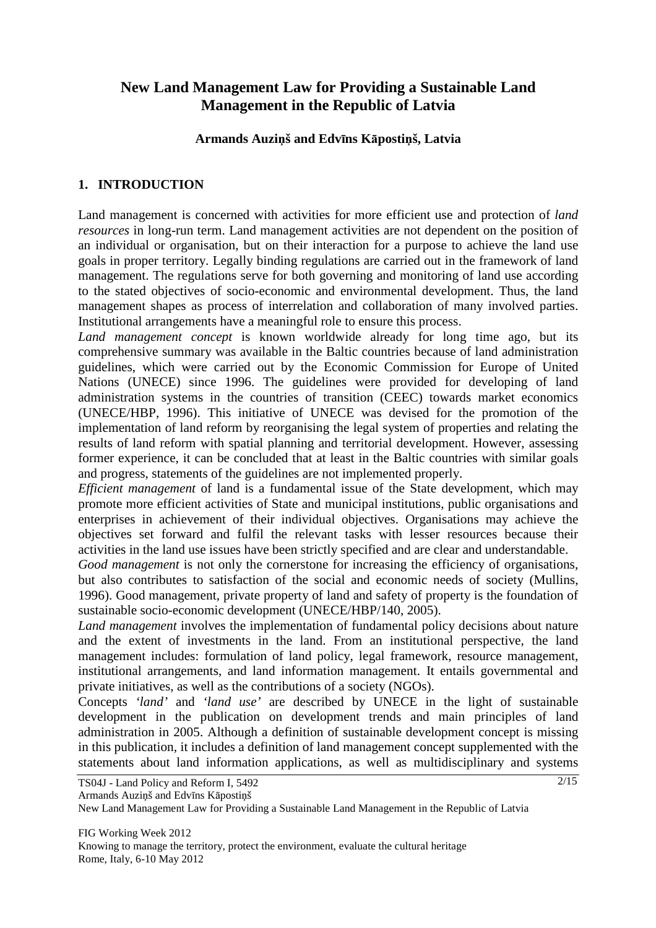# **New Land Management Law for Providing a Sustainable Land Management in the Republic of Latvia**

### **Armands Auzi**ņ**š and Edv**ī**ns K**ā**posti**ņ**š, Latvia**

# **1. INTRODUCTION**

Land management is concerned with activities for more efficient use and protection of *land resources* in long-run term. Land management activities are not dependent on the position of an individual or organisation, but on their interaction for a purpose to achieve the land use goals in proper territory. Legally binding regulations are carried out in the framework of land management. The regulations serve for both governing and monitoring of land use according to the stated objectives of socio-economic and environmental development. Thus, the land management shapes as process of interrelation and collaboration of many involved parties. Institutional arrangements have a meaningful role to ensure this process.

*Land management concept* is known worldwide already for long time ago, but its comprehensive summary was available in the Baltic countries because of land administration guidelines, which were carried out by the Economic Commission for Europe of United Nations (UNECE) since 1996. The guidelines were provided for developing of land administration systems in the countries of transition (CEEC) towards market economics (UNECE/HBP, 1996). This initiative of UNECE was devised for the promotion of the implementation of land reform by reorganising the legal system of properties and relating the results of land reform with spatial planning and territorial development. However, assessing former experience, it can be concluded that at least in the Baltic countries with similar goals and progress, statements of the guidelines are not implemented properly.

*Efficient management* of land is a fundamental issue of the State development, which may promote more efficient activities of State and municipal institutions, public organisations and enterprises in achievement of their individual objectives. Organisations may achieve the objectives set forward and fulfil the relevant tasks with lesser resources because their activities in the land use issues have been strictly specified and are clear and understandable.

*Good management* is not only the cornerstone for increasing the efficiency of organisations, but also contributes to satisfaction of the social and economic needs of society (Mullins, 1996). Good management, private property of land and safety of property is the foundation of sustainable socio-economic development (UNECE/HBP/140, 2005).

*Land management* involves the implementation of fundamental policy decisions about nature and the extent of investments in the land. From an institutional perspective, the land management includes: formulation of land policy, legal framework, resource management, institutional arrangements, and land information management. It entails governmental and private initiatives, as well as the contributions of a society (NGOs).

Concepts *'land'* and *'land use'* are described by UNECE in the light of sustainable development in the publication on development trends and main principles of land administration in 2005. Although a definition of sustainable development concept is missing in this publication, it includes a definition of land management concept supplemented with the statements about land information applications, as well as multidisciplinary and systems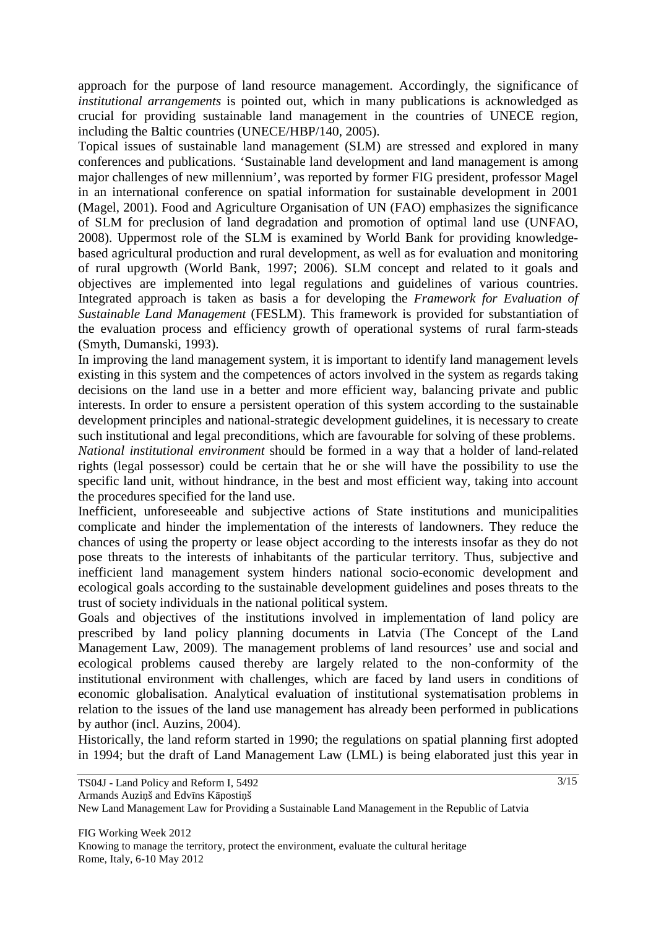approach for the purpose of land resource management. Accordingly, the significance of *institutional arrangements* is pointed out, which in many publications is acknowledged as crucial for providing sustainable land management in the countries of UNECE region, including the Baltic countries (UNECE/HBP/140, 2005).

Topical issues of sustainable land management (SLM) are stressed and explored in many conferences and publications. 'Sustainable land development and land management is among major challenges of new millennium', was reported by former FIG president, professor Magel in an international conference on spatial information for sustainable development in 2001 (Magel, 2001). Food and Agriculture Organisation of UN (FAO) emphasizes the significance of SLM for preclusion of land degradation and promotion of optimal land use (UNFAO, 2008). Uppermost role of the SLM is examined by World Bank for providing knowledgebased agricultural production and rural development, as well as for evaluation and monitoring of rural upgrowth (World Bank, 1997; 2006). SLM concept and related to it goals and objectives are implemented into legal regulations and guidelines of various countries. Integrated approach is taken as basis a for developing the *Framework for Evaluation of Sustainable Land Management* (FESLM). This framework is provided for substantiation of the evaluation process and efficiency growth of operational systems of rural farm-steads (Smyth, Dumanski, 1993).

In improving the land management system, it is important to identify land management levels existing in this system and the competences of actors involved in the system as regards taking decisions on the land use in a better and more efficient way, balancing private and public interests. In order to ensure a persistent operation of this system according to the sustainable development principles and national-strategic development guidelines, it is necessary to create such institutional and legal preconditions, which are favourable for solving of these problems.

*National institutional environment* should be formed in a way that a holder of land-related rights (legal possessor) could be certain that he or she will have the possibility to use the specific land unit, without hindrance, in the best and most efficient way, taking into account the procedures specified for the land use.

Inefficient, unforeseeable and subjective actions of State institutions and municipalities complicate and hinder the implementation of the interests of landowners. They reduce the chances of using the property or lease object according to the interests insofar as they do not pose threats to the interests of inhabitants of the particular territory. Thus, subjective and inefficient land management system hinders national socio-economic development and ecological goals according to the sustainable development guidelines and poses threats to the trust of society individuals in the national political system.

Goals and objectives of the institutions involved in implementation of land policy are prescribed by land policy planning documents in Latvia (The Concept of the Land Management Law, 2009). The management problems of land resources' use and social and ecological problems caused thereby are largely related to the non-conformity of the institutional environment with challenges, which are faced by land users in conditions of economic globalisation. Analytical evaluation of institutional systematisation problems in relation to the issues of the land use management has already been performed in publications by author (incl. Auzins, 2004).

Historically, the land reform started in 1990; the regulations on spatial planning first adopted in 1994; but the draft of Land Management Law (LML) is being elaborated just this year in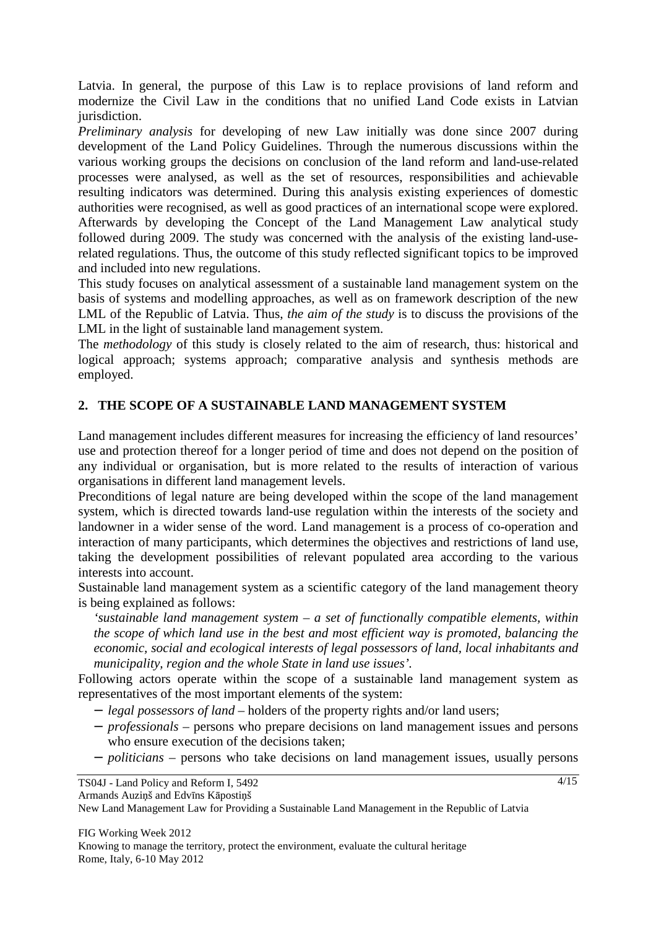Latvia. In general, the purpose of this Law is to replace provisions of land reform and modernize the Civil Law in the conditions that no unified Land Code exists in Latvian jurisdiction.

*Preliminary analysis* for developing of new Law initially was done since 2007 during development of the Land Policy Guidelines. Through the numerous discussions within the various working groups the decisions on conclusion of the land reform and land-use-related processes were analysed, as well as the set of resources, responsibilities and achievable resulting indicators was determined. During this analysis existing experiences of domestic authorities were recognised, as well as good practices of an international scope were explored. Afterwards by developing the Concept of the Land Management Law analytical study followed during 2009. The study was concerned with the analysis of the existing land-userelated regulations. Thus, the outcome of this study reflected significant topics to be improved and included into new regulations.

This study focuses on analytical assessment of a sustainable land management system on the basis of systems and modelling approaches, as well as on framework description of the new LML of the Republic of Latvia. Thus, *the aim of the study* is to discuss the provisions of the LML in the light of sustainable land management system.

The *methodology* of this study is closely related to the aim of research, thus: historical and logical approach; systems approach; comparative analysis and synthesis methods are employed.

## **2. THE SCOPE OF A SUSTAINABLE LAND MANAGEMENT SYSTEM**

Land management includes different measures for increasing the efficiency of land resources' use and protection thereof for a longer period of time and does not depend on the position of any individual or organisation, but is more related to the results of interaction of various organisations in different land management levels.

Preconditions of legal nature are being developed within the scope of the land management system, which is directed towards land-use regulation within the interests of the society and landowner in a wider sense of the word. Land management is a process of co-operation and interaction of many participants, which determines the objectives and restrictions of land use, taking the development possibilities of relevant populated area according to the various interests into account.

Sustainable land management system as a scientific category of the land management theory is being explained as follows:

*'sustainable land management system – a set of functionally compatible elements, within the scope of which land use in the best and most efficient way is promoted, balancing the economic, social and ecological interests of legal possessors of land, local inhabitants and municipality, region and the whole State in land use issues'.* 

Following actors operate within the scope of a sustainable land management system as representatives of the most important elements of the system:

- − *legal possessors of land* holders of the property rights and/or land users;
- − *professionals* persons who prepare decisions on land management issues and persons who ensure execution of the decisions taken;
- − *politicians* persons who take decisions on land management issues, usually persons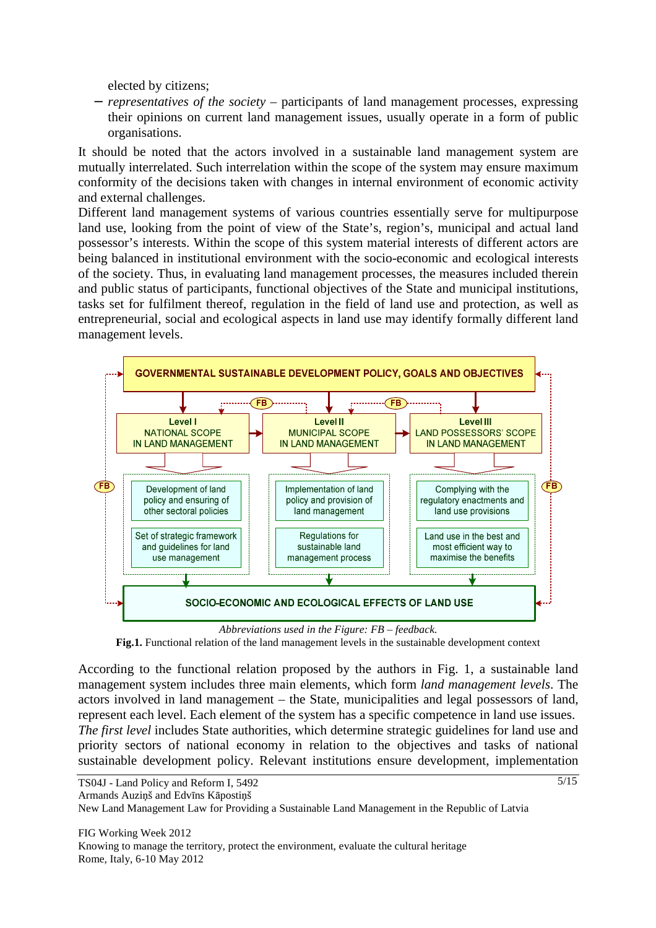elected by citizens;

− *representatives of the society* – participants of land management processes, expressing their opinions on current land management issues, usually operate in a form of public organisations.

It should be noted that the actors involved in a sustainable land management system are mutually interrelated. Such interrelation within the scope of the system may ensure maximum conformity of the decisions taken with changes in internal environment of economic activity and external challenges.

Different land management systems of various countries essentially serve for multipurpose land use, looking from the point of view of the State's, region's, municipal and actual land possessor's interests. Within the scope of this system material interests of different actors are being balanced in institutional environment with the socio-economic and ecological interests of the society. Thus, in evaluating land management processes, the measures included therein and public status of participants, functional objectives of the State and municipal institutions, tasks set for fulfilment thereof, regulation in the field of land use and protection, as well as entrepreneurial, social and ecological aspects in land use may identify formally different land management levels.



**Fig.1.** Functional relation of the land management levels in the sustainable development context

According to the functional relation proposed by the authors in Fig. 1, a sustainable land management system includes three main elements, which form *land management levels*. The actors involved in land management – the State, municipalities and legal possessors of land, represent each level. Each element of the system has a specific competence in land use issues. *The first level* includes State authorities, which determine strategic guidelines for land use and priority sectors of national economy in relation to the objectives and tasks of national sustainable development policy. Relevant institutions ensure development, implementation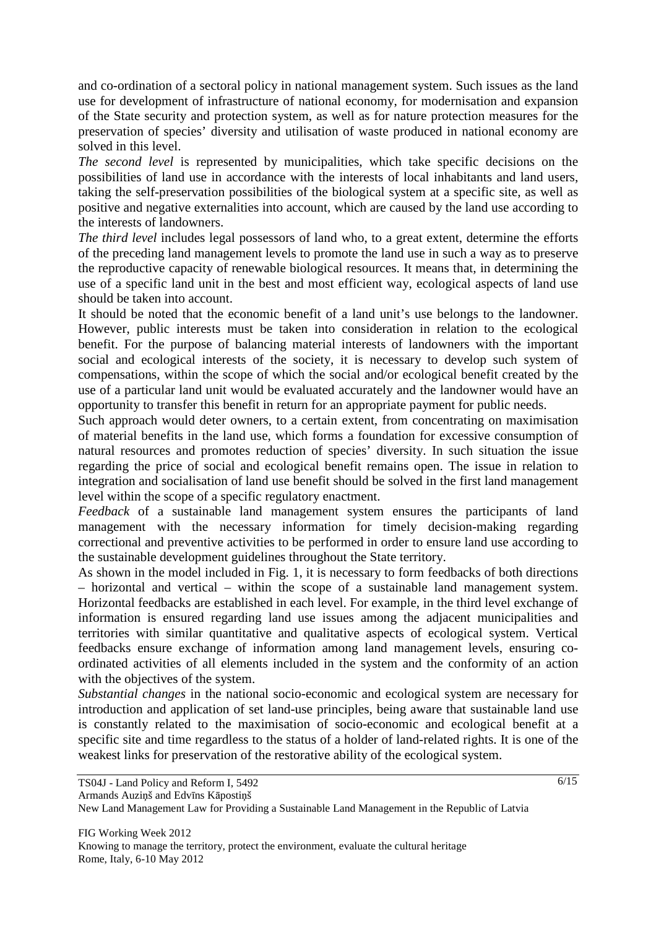and co-ordination of a sectoral policy in national management system. Such issues as the land use for development of infrastructure of national economy, for modernisation and expansion of the State security and protection system, as well as for nature protection measures for the preservation of species' diversity and utilisation of waste produced in national economy are solved in this level.

*The second level* is represented by municipalities, which take specific decisions on the possibilities of land use in accordance with the interests of local inhabitants and land users, taking the self-preservation possibilities of the biological system at a specific site, as well as positive and negative externalities into account, which are caused by the land use according to the interests of landowners.

*The third level* includes legal possessors of land who, to a great extent, determine the efforts of the preceding land management levels to promote the land use in such a way as to preserve the reproductive capacity of renewable biological resources. It means that, in determining the use of a specific land unit in the best and most efficient way, ecological aspects of land use should be taken into account.

It should be noted that the economic benefit of a land unit's use belongs to the landowner. However, public interests must be taken into consideration in relation to the ecological benefit. For the purpose of balancing material interests of landowners with the important social and ecological interests of the society, it is necessary to develop such system of compensations, within the scope of which the social and/or ecological benefit created by the use of a particular land unit would be evaluated accurately and the landowner would have an opportunity to transfer this benefit in return for an appropriate payment for public needs.

Such approach would deter owners, to a certain extent, from concentrating on maximisation of material benefits in the land use, which forms a foundation for excessive consumption of natural resources and promotes reduction of species' diversity. In such situation the issue regarding the price of social and ecological benefit remains open. The issue in relation to integration and socialisation of land use benefit should be solved in the first land management level within the scope of a specific regulatory enactment.

*Feedback* of a sustainable land management system ensures the participants of land management with the necessary information for timely decision-making regarding correctional and preventive activities to be performed in order to ensure land use according to the sustainable development guidelines throughout the State territory.

As shown in the model included in Fig. 1, it is necessary to form feedbacks of both directions – horizontal and vertical – within the scope of a sustainable land management system. Horizontal feedbacks are established in each level. For example, in the third level exchange of information is ensured regarding land use issues among the adjacent municipalities and territories with similar quantitative and qualitative aspects of ecological system. Vertical feedbacks ensure exchange of information among land management levels, ensuring coordinated activities of all elements included in the system and the conformity of an action with the objectives of the system.

*Substantial changes* in the national socio-economic and ecological system are necessary for introduction and application of set land-use principles, being aware that sustainable land use is constantly related to the maximisation of socio-economic and ecological benefit at a specific site and time regardless to the status of a holder of land-related rights. It is one of the weakest links for preservation of the restorative ability of the ecological system.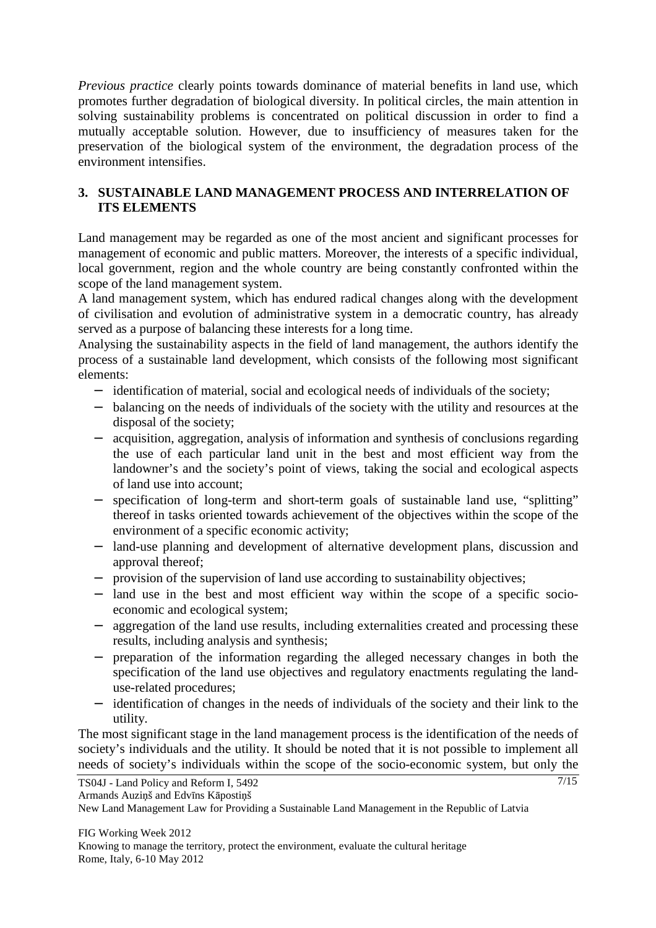*Previous practice* clearly points towards dominance of material benefits in land use, which promotes further degradation of biological diversity. In political circles, the main attention in solving sustainability problems is concentrated on political discussion in order to find a mutually acceptable solution. However, due to insufficiency of measures taken for the preservation of the biological system of the environment, the degradation process of the environment intensifies.

# **3. SUSTAINABLE LAND MANAGEMENT PROCESS AND INTERRELATION OF ITS ELEMENTS**

Land management may be regarded as one of the most ancient and significant processes for management of economic and public matters. Moreover, the interests of a specific individual, local government, region and the whole country are being constantly confronted within the scope of the land management system.

A land management system, which has endured radical changes along with the development of civilisation and evolution of administrative system in a democratic country, has already served as a purpose of balancing these interests for a long time.

Analysing the sustainability aspects in the field of land management, the authors identify the process of a sustainable land development, which consists of the following most significant elements:

- − identification of material, social and ecological needs of individuals of the society;
- − balancing on the needs of individuals of the society with the utility and resources at the disposal of the society;
- − acquisition, aggregation, analysis of information and synthesis of conclusions regarding the use of each particular land unit in the best and most efficient way from the landowner's and the society's point of views, taking the social and ecological aspects of land use into account;
- − specification of long-term and short-term goals of sustainable land use, "splitting" thereof in tasks oriented towards achievement of the objectives within the scope of the environment of a specific economic activity;
- − land-use planning and development of alternative development plans, discussion and approval thereof;
- − provision of the supervision of land use according to sustainability objectives;
- − land use in the best and most efficient way within the scope of a specific socioeconomic and ecological system;
- − aggregation of the land use results, including externalities created and processing these results, including analysis and synthesis;
- − preparation of the information regarding the alleged necessary changes in both the specification of the land use objectives and regulatory enactments regulating the landuse-related procedures;
- identification of changes in the needs of individuals of the society and their link to the utility.

The most significant stage in the land management process is the identification of the needs of society's individuals and the utility. It should be noted that it is not possible to implement all needs of society's individuals within the scope of the socio-economic system, but only the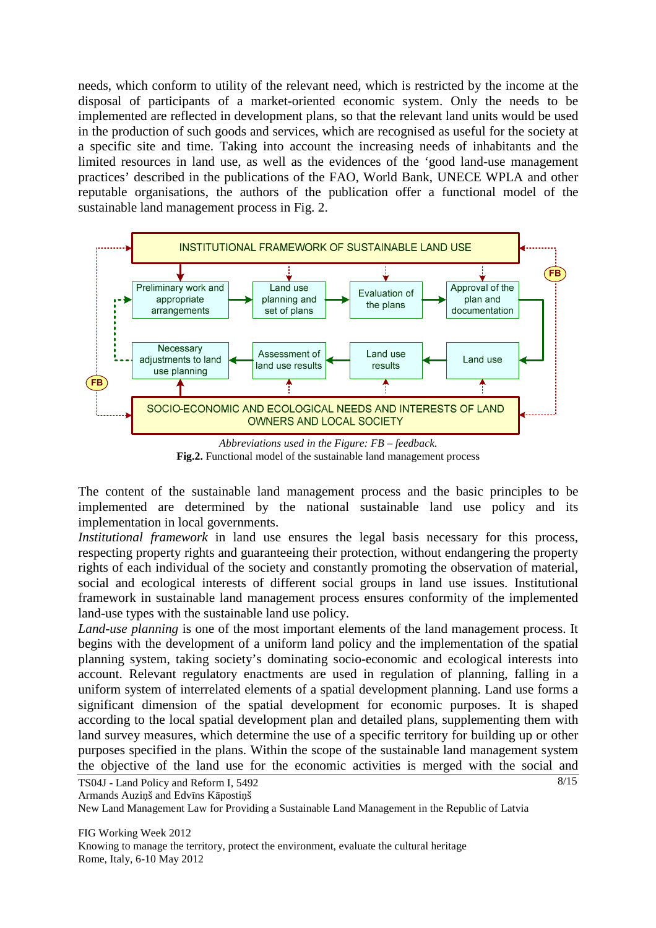needs, which conform to utility of the relevant need, which is restricted by the income at the disposal of participants of a market-oriented economic system. Only the needs to be implemented are reflected in development plans, so that the relevant land units would be used in the production of such goods and services, which are recognised as useful for the society at a specific site and time. Taking into account the increasing needs of inhabitants and the limited resources in land use, as well as the evidences of the 'good land-use management practices' described in the publications of the FAO, World Bank, UNECE WPLA and other reputable organisations, the authors of the publication offer a functional model of the sustainable land management process in Fig. 2.



*Abbreviations used in the Figure: FB – feedback.*  **Fig.2.** Functional model of the sustainable land management process

The content of the sustainable land management process and the basic principles to be implemented are determined by the national sustainable land use policy and its implementation in local governments.

*Institutional framework* in land use ensures the legal basis necessary for this process, respecting property rights and guaranteeing their protection, without endangering the property rights of each individual of the society and constantly promoting the observation of material, social and ecological interests of different social groups in land use issues. Institutional framework in sustainable land management process ensures conformity of the implemented land-use types with the sustainable land use policy.

*Land-use planning* is one of the most important elements of the land management process. It begins with the development of a uniform land policy and the implementation of the spatial planning system, taking society's dominating socio-economic and ecological interests into account. Relevant regulatory enactments are used in regulation of planning, falling in a uniform system of interrelated elements of a spatial development planning. Land use forms a significant dimension of the spatial development for economic purposes. It is shaped according to the local spatial development plan and detailed plans, supplementing them with land survey measures, which determine the use of a specific territory for building up or other purposes specified in the plans. Within the scope of the sustainable land management system the objective of the land use for the economic activities is merged with the social and

TS04J - Land Policy and Reform I, 5492 Armands Auziņš and Edvīns Kāpostiņš

New Land Management Law for Providing a Sustainable Land Management in the Republic of Latvia

FIG Working Week 2012 Knowing to manage the territory, protect the environment, evaluate the cultural heritage Rome, Italy, 6-10 May 2012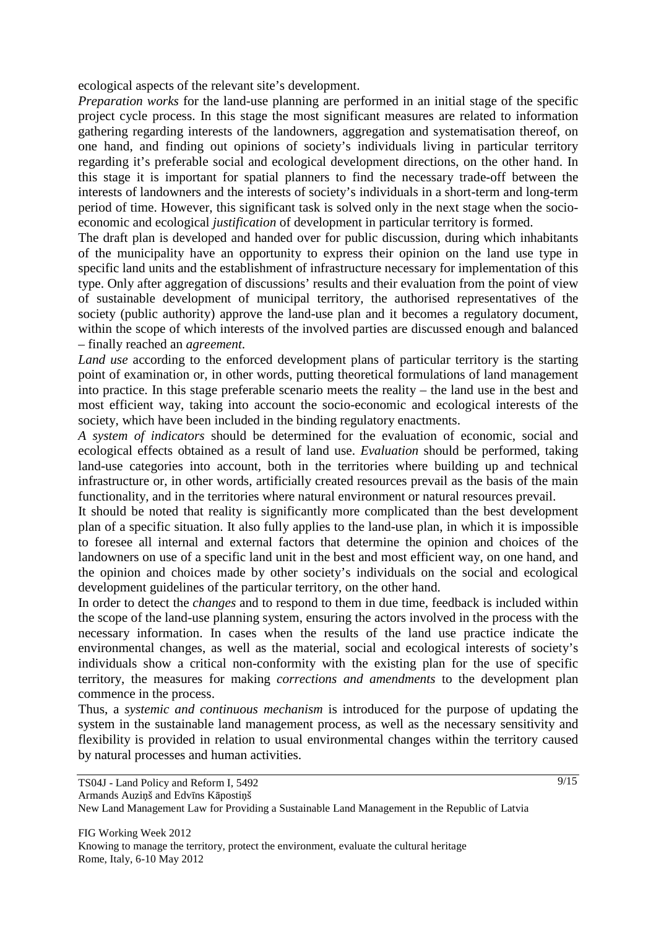ecological aspects of the relevant site's development.

*Preparation works* for the land-use planning are performed in an initial stage of the specific project cycle process. In this stage the most significant measures are related to information gathering regarding interests of the landowners, aggregation and systematisation thereof, on one hand, and finding out opinions of society's individuals living in particular territory regarding it's preferable social and ecological development directions, on the other hand. In this stage it is important for spatial planners to find the necessary trade-off between the interests of landowners and the interests of society's individuals in a short-term and long-term period of time. However, this significant task is solved only in the next stage when the socioeconomic and ecological *justification* of development in particular territory is formed.

The draft plan is developed and handed over for public discussion, during which inhabitants of the municipality have an opportunity to express their opinion on the land use type in specific land units and the establishment of infrastructure necessary for implementation of this type. Only after aggregation of discussions' results and their evaluation from the point of view of sustainable development of municipal territory, the authorised representatives of the society (public authority) approve the land-use plan and it becomes a regulatory document, within the scope of which interests of the involved parties are discussed enough and balanced – finally reached an *agreement*.

*Land use* according to the enforced development plans of particular territory is the starting point of examination or, in other words, putting theoretical formulations of land management into practice. In this stage preferable scenario meets the reality – the land use in the best and most efficient way, taking into account the socio-economic and ecological interests of the society, which have been included in the binding regulatory enactments.

*A system of indicators* should be determined for the evaluation of economic, social and ecological effects obtained as a result of land use. *Evaluation* should be performed, taking land-use categories into account, both in the territories where building up and technical infrastructure or, in other words, artificially created resources prevail as the basis of the main functionality, and in the territories where natural environment or natural resources prevail.

It should be noted that reality is significantly more complicated than the best development plan of a specific situation. It also fully applies to the land-use plan, in which it is impossible to foresee all internal and external factors that determine the opinion and choices of the landowners on use of a specific land unit in the best and most efficient way, on one hand, and the opinion and choices made by other society's individuals on the social and ecological development guidelines of the particular territory, on the other hand.

In order to detect the *changes* and to respond to them in due time, feedback is included within the scope of the land-use planning system, ensuring the actors involved in the process with the necessary information. In cases when the results of the land use practice indicate the environmental changes, as well as the material, social and ecological interests of society's individuals show a critical non-conformity with the existing plan for the use of specific territory, the measures for making *corrections and amendments* to the development plan commence in the process.

Thus, a *systemic and continuous mechanism* is introduced for the purpose of updating the system in the sustainable land management process, as well as the necessary sensitivity and flexibility is provided in relation to usual environmental changes within the territory caused by natural processes and human activities.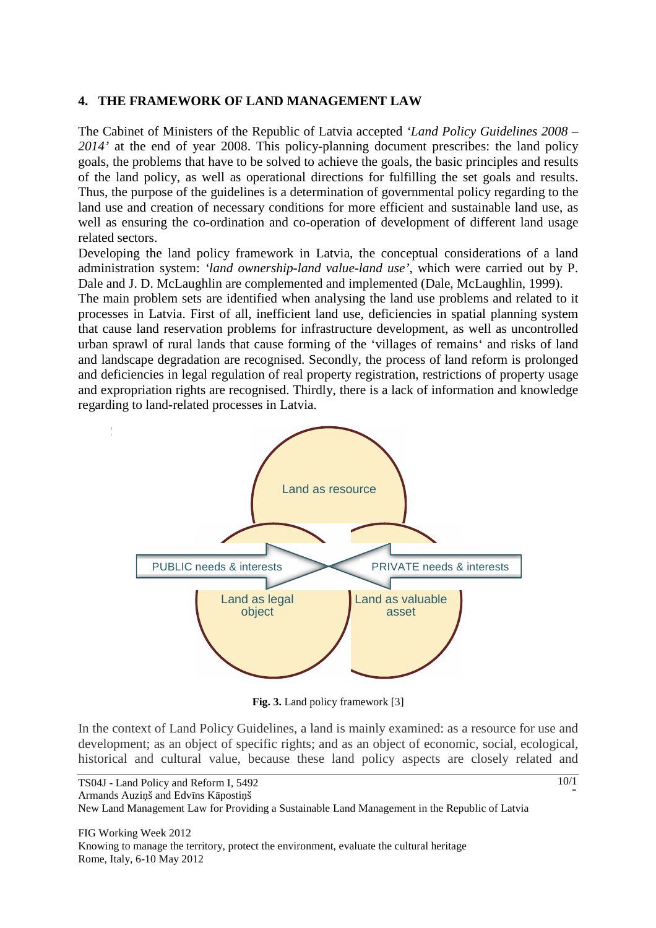#### **4. THE FRAMEWORK OF LAND MANAGEMENT LAW**

The Cabinet of Ministers of the Republic of Latvia accepted *'Land Policy Guidelines 2008 – 2014'* at the end of year 2008. This policy-planning document prescribes: the land policy goals, the problems that have to be solved to achieve the goals, the basic principles and results of the land policy, as well as operational directions for fulfilling the set goals and results. Thus, the purpose of the guidelines is a determination of governmental policy regarding to the land use and creation of necessary conditions for more efficient and sustainable land use, as well as ensuring the co-ordination and co-operation of development of different land usage related sectors.

Developing the land policy framework in Latvia, the conceptual considerations of a land administration system: *'land ownership-land value-land use'*, which were carried out by P. Dale and J. D. McLaughlin are complemented and implemented (Dale, McLaughlin, 1999).

The main problem sets are identified when analysing the land use problems and related to it processes in Latvia. First of all, inefficient land use, deficiencies in spatial planning system that cause land reservation problems for infrastructure development, as well as uncontrolled urban sprawl of rural lands that cause forming of the 'villages of remains' and risks of land and landscape degradation are recognised. Secondly, the process of land reform is prolonged and deficiencies in legal regulation of real property registration, restrictions of property usage and expropriation rights are recognised. Thirdly, there is a lack of information and knowledge regarding to land-related processes in Latvia.



**Fig. 3.** Land policy framework [3]

In the context of Land Policy Guidelines, a land is mainly examined: as a resource for use and development; as an object of specific rights; and as an object of economic, social, ecological, historical and cultural value, because these land policy aspects are closely related and

10/1

5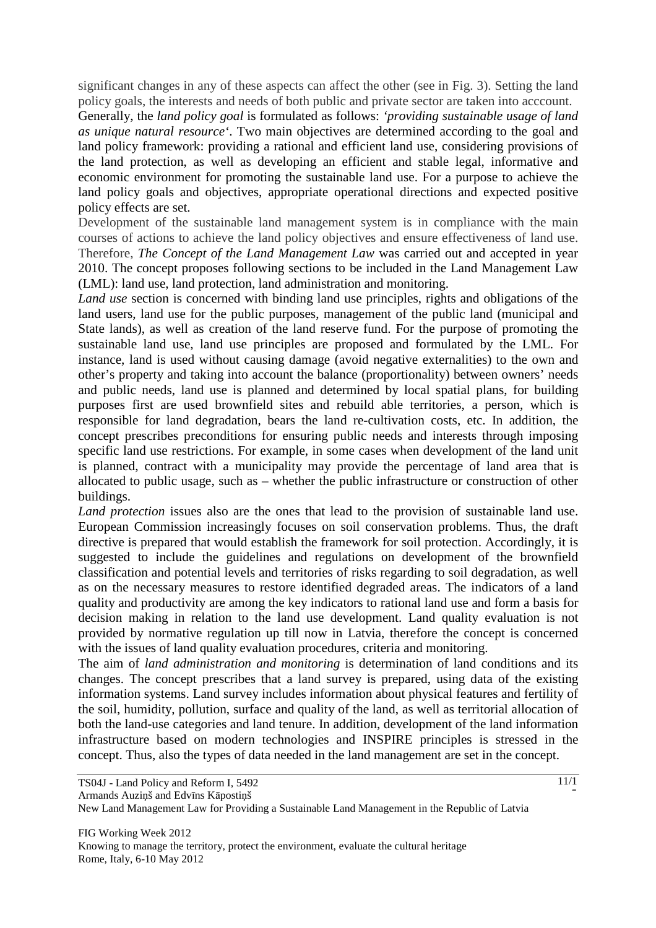significant changes in any of these aspects can affect the other (see in Fig. 3). Setting the land policy goals, the interests and needs of both public and private sector are taken into acccount.

Generally, the *land policy goal* is formulated as follows: *'providing sustainable usage of land as unique natural resource'*. Two main objectives are determined according to the goal and land policy framework: providing a rational and efficient land use, considering provisions of the land protection, as well as developing an efficient and stable legal, informative and economic environment for promoting the sustainable land use. For a purpose to achieve the land policy goals and objectives, appropriate operational directions and expected positive policy effects are set.

Development of the sustainable land management system is in compliance with the main courses of actions to achieve the land policy objectives and ensure effectiveness of land use. Therefore, *The Concept of the Land Management Law* was carried out and accepted in year 2010. The concept proposes following sections to be included in the Land Management Law (LML): land use, land protection, land administration and monitoring.

*Land use* section is concerned with binding land use principles, rights and obligations of the land users, land use for the public purposes, management of the public land (municipal and State lands), as well as creation of the land reserve fund. For the purpose of promoting the sustainable land use, land use principles are proposed and formulated by the LML. For instance, land is used without causing damage (avoid negative externalities) to the own and other's property and taking into account the balance (proportionality) between owners' needs and public needs, land use is planned and determined by local spatial plans, for building purposes first are used brownfield sites and rebuild able territories, a person, which is responsible for land degradation, bears the land re-cultivation costs, etc. In addition, the concept prescribes preconditions for ensuring public needs and interests through imposing specific land use restrictions. For example, in some cases when development of the land unit is planned, contract with a municipality may provide the percentage of land area that is allocated to public usage, such as – whether the public infrastructure or construction of other buildings.

*Land protection* issues also are the ones that lead to the provision of sustainable land use. European Commission increasingly focuses on soil conservation problems. Thus, the draft directive is prepared that would establish the framework for soil protection. Accordingly, it is suggested to include the guidelines and regulations on development of the brownfield classification and potential levels and territories of risks regarding to soil degradation, as well as on the necessary measures to restore identified degraded areas. The indicators of a land quality and productivity are among the key indicators to rational land use and form a basis for decision making in relation to the land use development. Land quality evaluation is not provided by normative regulation up till now in Latvia, therefore the concept is concerned with the issues of land quality evaluation procedures, criteria and monitoring.

The aim of *land administration and monitoring* is determination of land conditions and its changes. The concept prescribes that a land survey is prepared, using data of the existing information systems. Land survey includes information about physical features and fertility of the soil, humidity, pollution, surface and quality of the land, as well as territorial allocation of both the land-use categories and land tenure. In addition, development of the land information infrastructure based on modern technologies and INSPIRE principles is stressed in the concept. Thus, also the types of data needed in the land management are set in the concept.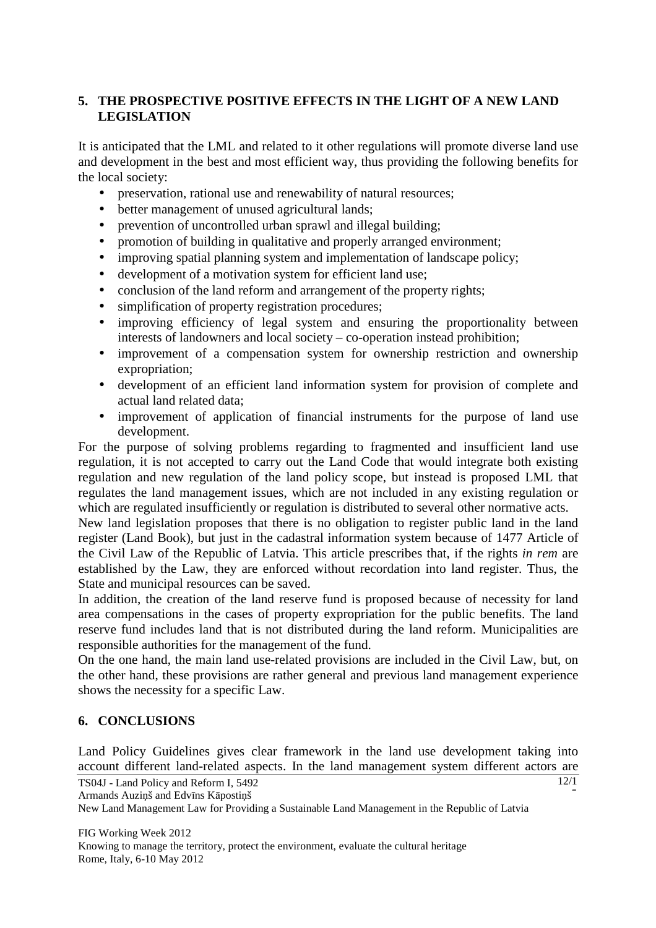# **5. THE PROSPECTIVE POSITIVE EFFECTS IN THE LIGHT OF A NEW LAND LEGISLATION**

It is anticipated that the LML and related to it other regulations will promote diverse land use and development in the best and most efficient way, thus providing the following benefits for the local society:

- preservation, rational use and renewability of natural resources;
- better management of unused agricultural lands;
- prevention of uncontrolled urban sprawl and illegal building;
- promotion of building in qualitative and properly arranged environment;
- improving spatial planning system and implementation of landscape policy;
- development of a motivation system for efficient land use;
- conclusion of the land reform and arrangement of the property rights:
- simplification of property registration procedures;
- improving efficiency of legal system and ensuring the proportionality between interests of landowners and local society – co-operation instead prohibition;
- improvement of a compensation system for ownership restriction and ownership expropriation;
- development of an efficient land information system for provision of complete and actual land related data;
- improvement of application of financial instruments for the purpose of land use development.

For the purpose of solving problems regarding to fragmented and insufficient land use regulation, it is not accepted to carry out the Land Code that would integrate both existing regulation and new regulation of the land policy scope, but instead is proposed LML that regulates the land management issues, which are not included in any existing regulation or which are regulated insufficiently or regulation is distributed to several other normative acts.

New land legislation proposes that there is no obligation to register public land in the land register (Land Book), but just in the cadastral information system because of 1477 Article of the Civil Law of the Republic of Latvia. This article prescribes that, if the rights *in rem* are established by the Law, they are enforced without recordation into land register. Thus, the State and municipal resources can be saved.

In addition, the creation of the land reserve fund is proposed because of necessity for land area compensations in the cases of property expropriation for the public benefits. The land reserve fund includes land that is not distributed during the land reform. Municipalities are responsible authorities for the management of the fund.

On the one hand, the main land use-related provisions are included in the Civil Law, but, on the other hand, these provisions are rather general and previous land management experience shows the necessity for a specific Law.

#### **6. CONCLUSIONS**

Land Policy Guidelines gives clear framework in the land use development taking into account different land-related aspects. In the land management system different actors are

```
TS04J - Land Policy and Reform I, 5492 
Armands Auziņš and Edvīns Kāpostiņš
```
New Land Management Law for Providing a Sustainable Land Management in the Republic of Latvia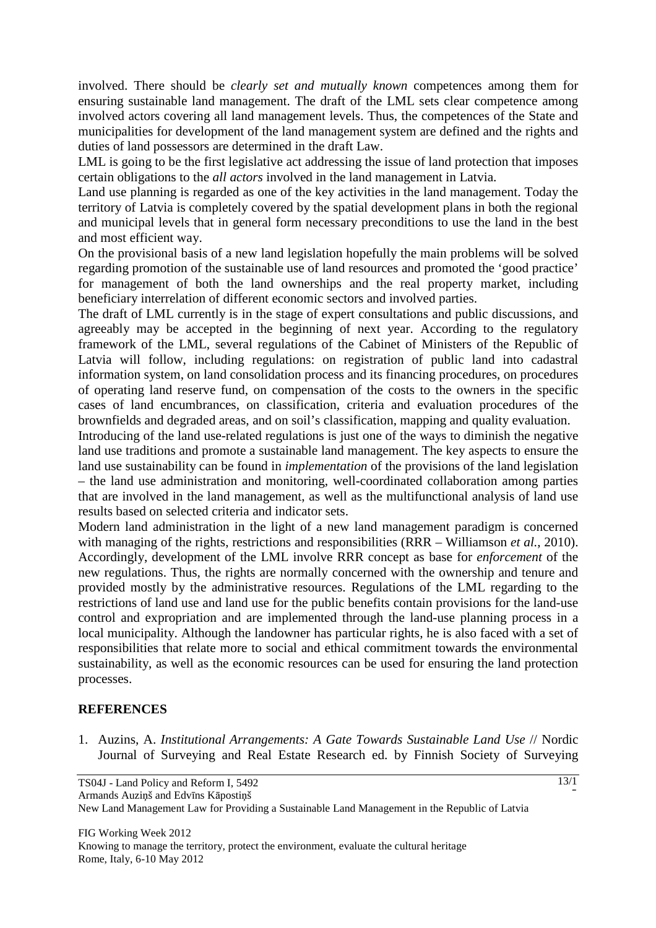involved. There should be *clearly set and mutually known* competences among them for ensuring sustainable land management. The draft of the LML sets clear competence among involved actors covering all land management levels. Thus, the competences of the State and municipalities for development of the land management system are defined and the rights and duties of land possessors are determined in the draft Law.

LML is going to be the first legislative act addressing the issue of land protection that imposes certain obligations to the *all actors* involved in the land management in Latvia.

Land use planning is regarded as one of the key activities in the land management. Today the territory of Latvia is completely covered by the spatial development plans in both the regional and municipal levels that in general form necessary preconditions to use the land in the best and most efficient way.

On the provisional basis of a new land legislation hopefully the main problems will be solved regarding promotion of the sustainable use of land resources and promoted the 'good practice' for management of both the land ownerships and the real property market, including beneficiary interrelation of different economic sectors and involved parties.

The draft of LML currently is in the stage of expert consultations and public discussions, and agreeably may be accepted in the beginning of next year. According to the regulatory framework of the LML, several regulations of the Cabinet of Ministers of the Republic of Latvia will follow, including regulations: on registration of public land into cadastral information system, on land consolidation process and its financing procedures, on procedures of operating land reserve fund, on compensation of the costs to the owners in the specific cases of land encumbrances, on classification, criteria and evaluation procedures of the brownfields and degraded areas, and on soil's classification, mapping and quality evaluation.

Introducing of the land use-related regulations is just one of the ways to diminish the negative land use traditions and promote a sustainable land management. The key aspects to ensure the land use sustainability can be found in *implementation* of the provisions of the land legislation – the land use administration and monitoring, well-coordinated collaboration among parties that are involved in the land management, as well as the multifunctional analysis of land use results based on selected criteria and indicator sets.

Modern land administration in the light of a new land management paradigm is concerned with managing of the rights, restrictions and responsibilities (RRR – Williamson *et al.*, 2010). Accordingly, development of the LML involve RRR concept as base for *enforcement* of the new regulations. Thus, the rights are normally concerned with the ownership and tenure and provided mostly by the administrative resources. Regulations of the LML regarding to the restrictions of land use and land use for the public benefits contain provisions for the land-use control and expropriation and are implemented through the land-use planning process in a local municipality. Although the landowner has particular rights, he is also faced with a set of responsibilities that relate more to social and ethical commitment towards the environmental sustainability, as well as the economic resources can be used for ensuring the land protection processes.

## **REFERENCES**

1. Auzins, A. *Institutional Arrangements: A Gate Towards Sustainable Land Use* // Nordic Journal of Surveying and Real Estate Research ed. by Finnish Society of Surveying

5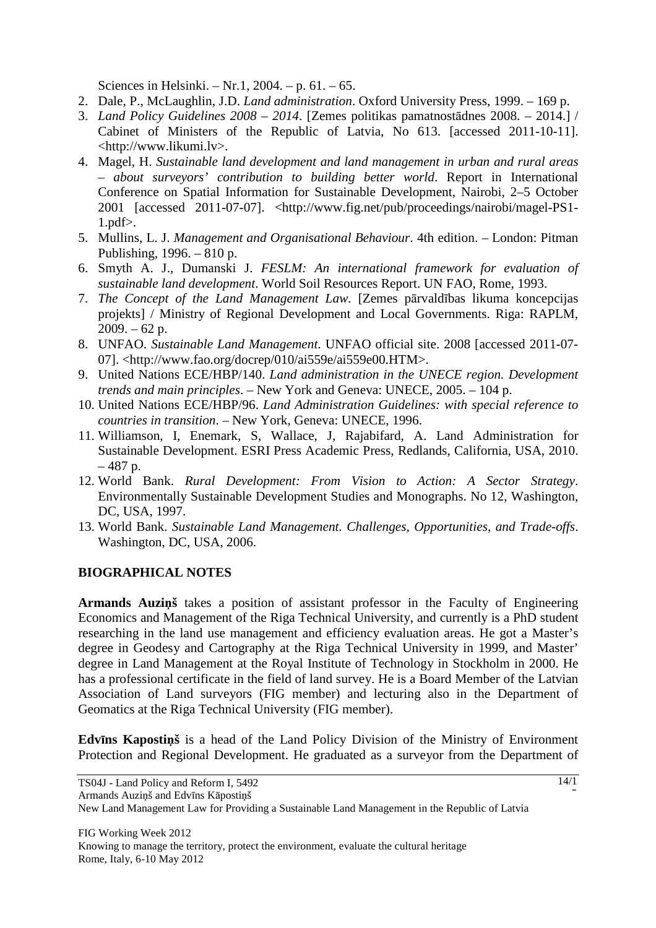Sciences in Helsinki. – Nr.1, 2004. – p. 61. – 65.

- 2. Dale, P., McLaughlin, J.D. *Land administration*. Oxford University Press, 1999. 169 p.
- 3. *Land Policy Guidelines 2008 2014*. [Zemes politikas pamatnostādnes 2008. 2014.] / Cabinet of Ministers of the Republic of Latvia, No 613. [accessed 2011-10-11]. <http://www.likumi.lv>.
- 4. Magel, H. *Sustainable land development and land management in urban and rural areas – about surveyors' contribution to building better world*. Report in International Conference on Spatial Information for Sustainable Development, Nairobi, 2–5 October 2001 [accessed 2011-07-07]. <http://www.fig.net/pub/proceedings/nairobi/magel-PS1- 1.pdf>.
- 5. Mullins, L. J. *Management and Organisational Behaviour*. 4th edition. London: Pitman Publishing, 1996. – 810 p.
- 6. Smyth A. J., Dumanski J. *FESLM: An international framework for evaluation of sustainable land development*. World Soil Resources Report. UN FAO, Rome, 1993.
- 7. *The Concept of the Land Management Law.* [Zemes pārvaldības likuma koncepcijas projekts] / Ministry of Regional Development and Local Governments. Riga: RAPLM,  $2009. - 62$  p.
- 8. UNFAO. *Sustainable Land Management*. UNFAO official site. 2008 [accessed 2011-07- 07]. <http://www.fao.org/docrep/010/ai559e/ai559e00.HTM>.
- 9. United Nations ECE/HBP/140. *Land administration in the UNECE region. Development trends and main principles*. – New York and Geneva: UNECE, 2005. – 104 p.
- 10. United Nations ECE/HBP/96. *Land Administration Guidelines: with special reference to countries in transition*. – New York, Geneva: UNECE, 1996.
- 11. Williamson, I, Enemark, S, Wallace, J, Rajabifard, A. Land Administration for Sustainable Development. ESRI Press Academic Press, Redlands, California, USA, 2010.  $-487$  p.
- 12. World Bank. *Rural Development: From Vision to Action: A Sector Strategy*. Environmentally Sustainable Development Studies and Monographs. No 12, Washington, DC, USA, 1997.
- 13. World Bank. *Sustainable Land Management. Challenges, Opportunities, and Trade-offs*. Washington, DC, USA, 2006.

#### **BIOGRAPHICAL NOTES**

**Armands Auzi**ņ**š** takes a position of assistant professor in the Faculty of Engineering Economics and Management of the Riga Technical University, and currently is a PhD student researching in the land use management and efficiency evaluation areas. He got a Master's degree in Geodesy and Cartography at the Riga Technical University in 1999, and Master' degree in Land Management at the Royal Institute of Technology in Stockholm in 2000. He has a professional certificate in the field of land survey. He is a Board Member of the Latvian Association of Land surveyors (FIG member) and lecturing also in the Department of Geomatics at the Riga Technical University (FIG member).

**Edv**ī**ns Kaposti**ņ**š** is a head of the Land Policy Division of the Ministry of Environment Protection and Regional Development. He graduated as a surveyor from the Department of

5